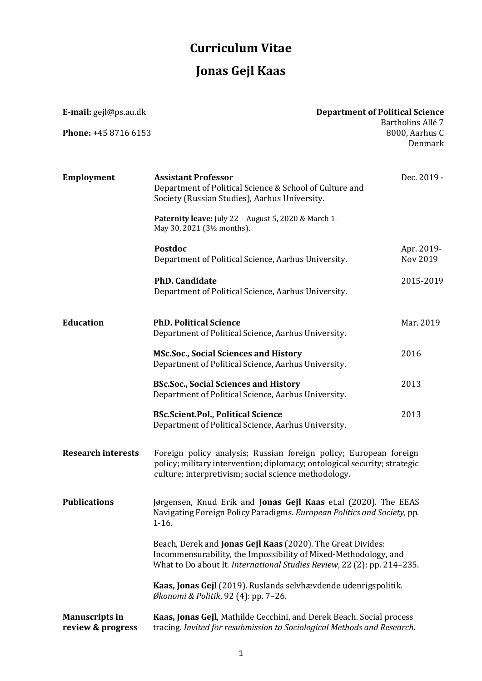## **Curriculum Vitae Jonas Gejl Kaas**

| E-mail: gejl@ps.au.dk<br>Phone: +45 8716 6153 | <b>Department of Political Science</b>                                                                                                                                                                    | Bartholins Allé 7<br>8000, Aarhus C<br>Denmark |
|-----------------------------------------------|-----------------------------------------------------------------------------------------------------------------------------------------------------------------------------------------------------------|------------------------------------------------|
| <b>Employment</b>                             | <b>Assistant Professor</b><br>Department of Political Science & School of Culture and<br>Society (Russian Studies), Aarhus University.                                                                    | Dec. 2019 -                                    |
|                                               | Paternity leave: July 22 - August 5, 2020 & March 1 -<br>May 30, 2021 (3½ months).                                                                                                                        |                                                |
|                                               | <b>Postdoc</b><br>Department of Political Science, Aarhus University.                                                                                                                                     | Apr. 2019-<br>Nov 2019                         |
|                                               | <b>PhD.</b> Candidate<br>Department of Political Science, Aarhus University.                                                                                                                              | 2015-2019                                      |
| <b>Education</b>                              | <b>PhD. Political Science</b><br>Department of Political Science, Aarhus University.                                                                                                                      | Mar. 2019                                      |
|                                               | <b>MSc.Soc., Social Sciences and History</b><br>Department of Political Science, Aarhus University.                                                                                                       | 2016                                           |
|                                               | <b>BSc.Soc., Social Sciences and History</b><br>Department of Political Science, Aarhus University.                                                                                                       | 2013                                           |
|                                               | <b>BSc.Scient.Pol., Political Science</b><br>Department of Political Science, Aarhus University.                                                                                                          | 2013                                           |
| <b>Research interests</b>                     | Foreign policy analysis; Russian foreign policy; European foreign<br>policy; military intervention; diplomacy; ontological security; strategic<br>culture; interpretivism; social science methodology.    |                                                |
| <b>Publications</b>                           | Jørgensen, Knud Erik and Jonas Gejl Kaas et.al (2020). The EEAS<br>Navigating Foreign Policy Paradigms. European Politics and Society, pp.<br>$1-16.$                                                     |                                                |
|                                               | Beach, Derek and Jonas Gejl Kaas (2020). The Great Divides:<br>Incommensurability, the Impossibility of Mixed-Methodology, and<br>What to Do about It. International Studies Review, 22 (2): pp. 214-235. |                                                |
|                                               | Kaas, Jonas Gejl (2019). Ruslands selvhævdende udenrigspolitik.<br>Økonomi & Politik, 92 (4): pp. 7-26.                                                                                                   |                                                |
| <b>Manuscripts in</b><br>review & progress    | Kaas, Jonas Gejl, Mathilde Cecchini, and Derek Beach. Social process<br>tracing. Invited for resubmission to Sociological Methods and Research.                                                           |                                                |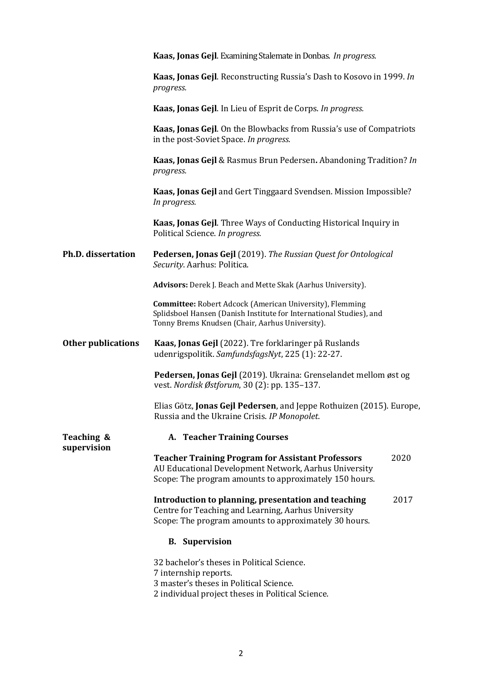|                           | Kaas, Jonas Gejl. Examining Stalemate in Donbas. In progress.                                                                                                                             |
|---------------------------|-------------------------------------------------------------------------------------------------------------------------------------------------------------------------------------------|
|                           | Kaas, Jonas Gejl. Reconstructing Russia's Dash to Kosovo in 1999. In<br>progress.                                                                                                         |
|                           | Kaas, Jonas Gejl. In Lieu of Esprit de Corps. In progress.                                                                                                                                |
|                           | Kaas, Jonas Gejl. On the Blowbacks from Russia's use of Compatriots<br>in the post-Soviet Space. In progress.                                                                             |
|                           | Kaas, Jonas Gejl & Rasmus Brun Pedersen. Abandoning Tradition? In<br>progress.                                                                                                            |
|                           | Kaas, Jonas Gejl and Gert Tinggaard Svendsen. Mission Impossible?<br>In progress.                                                                                                         |
|                           | Kaas, Jonas Gejl. Three Ways of Conducting Historical Inquiry in<br>Political Science. In progress.                                                                                       |
| <b>Ph.D. dissertation</b> | Pedersen, Jonas Gejl (2019). The Russian Quest for Ontological<br>Security. Aarhus: Politica.                                                                                             |
|                           | Advisors: Derek J. Beach and Mette Skak (Aarhus University).                                                                                                                              |
|                           | <b>Committee:</b> Robert Adcock (American University), Flemming<br>Splidsboel Hansen (Danish Institute for International Studies), and<br>Tonny Brems Knudsen (Chair, Aarhus University). |
| <b>Other publications</b> | Kaas, Jonas Gejl (2022). Tre forklaringer på Ruslands<br>udenrigspolitik. SamfundsfagsNyt, 225 (1): 22-27.                                                                                |
|                           | Pedersen, Jonas Gejl (2019). Ukraina: Grenselandet mellom øst og<br>vest. Nordisk Østforum, 30 (2): pp. 135-137.                                                                          |
|                           | Elias Götz, Jonas Gejl Pedersen, and Jeppe Rothuizen (2015). Europe,<br>Russia and the Ukraine Crisis. IP Monopolet.                                                                      |
| Teaching &                | A. Teacher Training Courses                                                                                                                                                               |
| supervision               | <b>Teacher Training Program for Assistant Professors</b><br>2020<br>AU Educational Development Network, Aarhus University<br>Scope: The program amounts to approximately 150 hours.       |
|                           | Introduction to planning, presentation and teaching<br>2017<br>Centre for Teaching and Learning, Aarhus University<br>Scope: The program amounts to approximately 30 hours.               |
|                           | <b>B.</b> Supervision                                                                                                                                                                     |
|                           | 32 bachelor's theses in Political Science.<br>7 internship reports.<br>3 master's theses in Political Science.<br>2 individual project theses in Political Science.                       |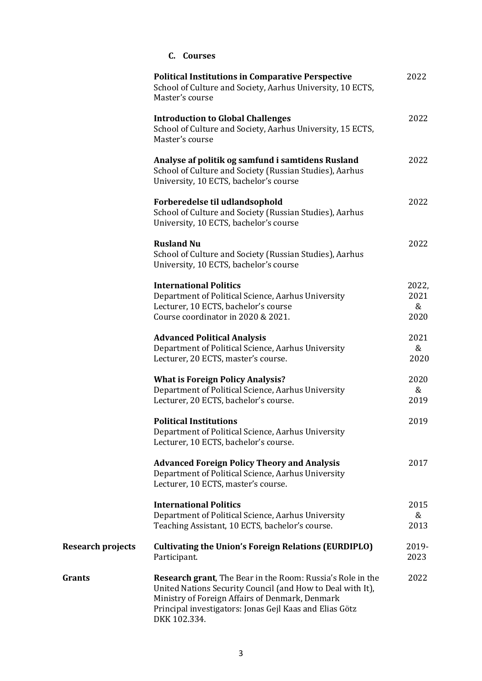|                          | C. Courses                                                                                                                                                                                                                                                     |                            |
|--------------------------|----------------------------------------------------------------------------------------------------------------------------------------------------------------------------------------------------------------------------------------------------------------|----------------------------|
|                          | <b>Political Institutions in Comparative Perspective</b><br>School of Culture and Society, Aarhus University, 10 ECTS,<br>Master's course                                                                                                                      | 2022                       |
|                          | <b>Introduction to Global Challenges</b><br>School of Culture and Society, Aarhus University, 15 ECTS,<br>Master's course                                                                                                                                      | 2022                       |
|                          | Analyse af politik og samfund i samtidens Rusland<br>School of Culture and Society (Russian Studies), Aarhus<br>University, 10 ECTS, bachelor's course                                                                                                         | 2022                       |
|                          | Forberedelse til udlandsophold<br>School of Culture and Society (Russian Studies), Aarhus<br>University, 10 ECTS, bachelor's course                                                                                                                            | 2022                       |
|                          | <b>Rusland Nu</b><br>School of Culture and Society (Russian Studies), Aarhus<br>University, 10 ECTS, bachelor's course                                                                                                                                         | 2022                       |
|                          | <b>International Politics</b><br>Department of Political Science, Aarhus University<br>Lecturer, 10 ECTS, bachelor's course<br>Course coordinator in 2020 & 2021.                                                                                              | 2022,<br>2021<br>&<br>2020 |
|                          | <b>Advanced Political Analysis</b><br>Department of Political Science, Aarhus University<br>Lecturer, 20 ECTS, master's course.                                                                                                                                | 2021<br>&<br>2020          |
|                          | <b>What is Foreign Policy Analysis?</b><br>Department of Political Science, Aarhus University<br>Lecturer, 20 ECTS, bachelor's course.                                                                                                                         | 2020<br>&<br>2019          |
|                          | <b>Political Institutions</b><br>Department of Political Science, Aarhus University<br>Lecturer, 10 ECTS, bachelor's course.                                                                                                                                   | 2019                       |
|                          | <b>Advanced Foreign Policy Theory and Analysis</b><br>Department of Political Science, Aarhus University<br>Lecturer, 10 ECTS, master's course.                                                                                                                | 2017                       |
|                          | <b>International Politics</b><br>Department of Political Science, Aarhus University<br>Teaching Assistant, 10 ECTS, bachelor's course.                                                                                                                         | 2015<br>&<br>2013          |
| <b>Research projects</b> | <b>Cultivating the Union's Foreign Relations (EURDIPLO)</b><br>Participant.                                                                                                                                                                                    | 2019-<br>2023              |
| Grants                   | <b>Research grant</b> , The Bear in the Room: Russia's Role in the<br>United Nations Security Council (and How to Deal with It),<br>Ministry of Foreign Affairs of Denmark, Denmark<br>Principal investigators: Jonas Gejl Kaas and Elias Götz<br>DKK 102.334. | 2022                       |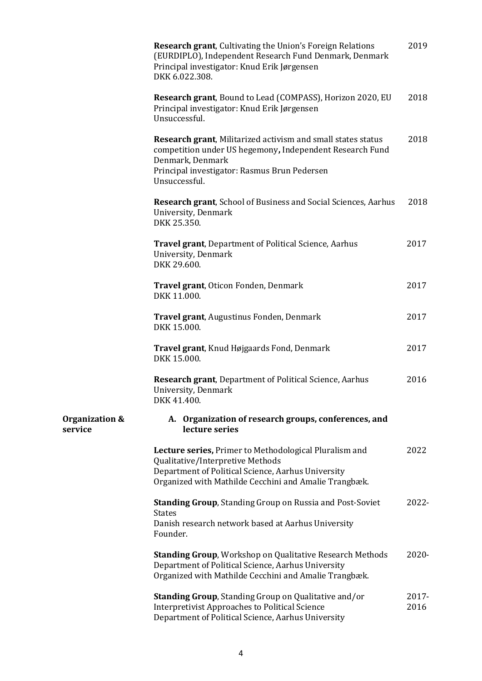|                           | Research grant, Cultivating the Union's Foreign Relations<br>(EURDIPLO), Independent Research Fund Denmark, Denmark<br>Principal investigator: Knud Erik Jørgensen<br>DKK 6.022.308.                          | 2019          |
|---------------------------|---------------------------------------------------------------------------------------------------------------------------------------------------------------------------------------------------------------|---------------|
|                           | Research grant, Bound to Lead (COMPASS), Horizon 2020, EU<br>Principal investigator: Knud Erik Jørgensen<br>Unsuccessful.                                                                                     | 2018          |
|                           | Research grant, Militarized activism and small states status<br>competition under US hegemony, Independent Research Fund<br>Denmark, Denmark<br>Principal investigator: Rasmus Brun Pedersen<br>Unsuccessful. | 2018          |
|                           | <b>Research grant, School of Business and Social Sciences, Aarhus</b><br>University, Denmark<br>DKK 25.350.                                                                                                   | 2018          |
|                           | <b>Travel grant, Department of Political Science, Aarhus</b><br>University, Denmark<br>DKK 29.600.                                                                                                            | 2017          |
|                           | Travel grant, Oticon Fonden, Denmark<br>DKK 11.000.                                                                                                                                                           | 2017          |
|                           | Travel grant, Augustinus Fonden, Denmark<br>DKK 15.000.                                                                                                                                                       | 2017          |
|                           | Travel grant, Knud Højgaards Fond, Denmark<br>DKK 15.000.                                                                                                                                                     | 2017          |
|                           | <b>Research grant, Department of Political Science, Aarhus</b><br>University, Denmark<br>DKK 41.400.                                                                                                          | 2016          |
| Organization &<br>service | A. Organization of research groups, conferences, and<br>lecture series                                                                                                                                        |               |
|                           | Lecture series, Primer to Methodological Pluralism and<br>Qualitative/Interpretive Methods<br>Department of Political Science, Aarhus University<br>Organized with Mathilde Cecchini and Amalie Trangbæk.     | 2022          |
|                           | <b>Standing Group, Standing Group on Russia and Post-Soviet</b><br><b>States</b><br>Danish research network based at Aarhus University<br>Founder.                                                            | 2022-         |
|                           | <b>Standing Group, Workshop on Qualitative Research Methods</b><br>Department of Political Science, Aarhus University<br>Organized with Mathilde Cecchini and Amalie Trangbæk.                                | 2020-         |
|                           | <b>Standing Group, Standing Group on Qualitative and/or</b><br><b>Interpretivist Approaches to Political Science</b><br>Department of Political Science, Aarhus University                                    | 2017-<br>2016 |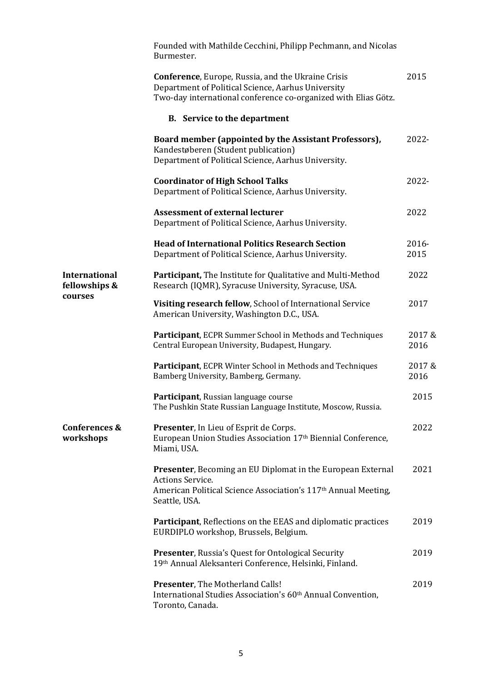|                                                  | Founded with Mathilde Cecchini, Philipp Pechmann, and Nicolas<br>Burmester.                                                                                                           |                |
|--------------------------------------------------|---------------------------------------------------------------------------------------------------------------------------------------------------------------------------------------|----------------|
|                                                  | <b>Conference, Europe, Russia, and the Ukraine Crisis</b><br>Department of Political Science, Aarhus University<br>Two-day international conference co-organized with Elias Götz.     | 2015           |
|                                                  | <b>B.</b> Service to the department                                                                                                                                                   |                |
|                                                  | Board member (appointed by the Assistant Professors),<br>Kandestøberen (Student publication)<br>Department of Political Science, Aarhus University.                                   | 2022-          |
|                                                  | <b>Coordinator of High School Talks</b><br>Department of Political Science, Aarhus University.                                                                                        | 2022-          |
|                                                  | <b>Assessment of external lecturer</b><br>Department of Political Science, Aarhus University.                                                                                         | 2022           |
|                                                  | <b>Head of International Politics Research Section</b><br>Department of Political Science, Aarhus University.                                                                         | 2016-<br>2015  |
| <b>International</b><br>fellowships &<br>courses | Participant, The Institute for Qualitative and Multi-Method<br>Research (IQMR), Syracuse University, Syracuse, USA.                                                                   | 2022           |
|                                                  | Visiting research fellow, School of International Service<br>American University, Washington D.C., USA.                                                                               | 2017           |
|                                                  | Participant, ECPR Summer School in Methods and Techniques<br>Central European University, Budapest, Hungary.                                                                          | 2017&<br>2016  |
|                                                  | Participant, ECPR Winter School in Methods and Techniques<br>Bamberg University, Bamberg, Germany.                                                                                    | 2017 &<br>2016 |
|                                                  | Participant, Russian language course<br>The Pushkin State Russian Language Institute, Moscow, Russia.                                                                                 | 2015           |
| Conferences &<br>workshops                       | Presenter, In Lieu of Esprit de Corps.<br>European Union Studies Association 17th Biennial Conference,<br>Miami, USA.                                                                 | 2022           |
|                                                  | <b>Presenter, Becoming an EU Diplomat in the European External</b><br>Actions Service.<br>American Political Science Association's 117 <sup>th</sup> Annual Meeting,<br>Seattle, USA. | 2021           |
|                                                  | <b>Participant</b> , Reflections on the EEAS and diplomatic practices<br>EURDIPLO workshop, Brussels, Belgium.                                                                        | 2019           |
|                                                  | <b>Presenter, Russia's Quest for Ontological Security</b><br>19th Annual Aleksanteri Conference, Helsinki, Finland.                                                                   | 2019           |
|                                                  | Presenter, The Motherland Calls!<br>International Studies Association's 60 <sup>th</sup> Annual Convention,<br>Toronto, Canada.                                                       | 2019           |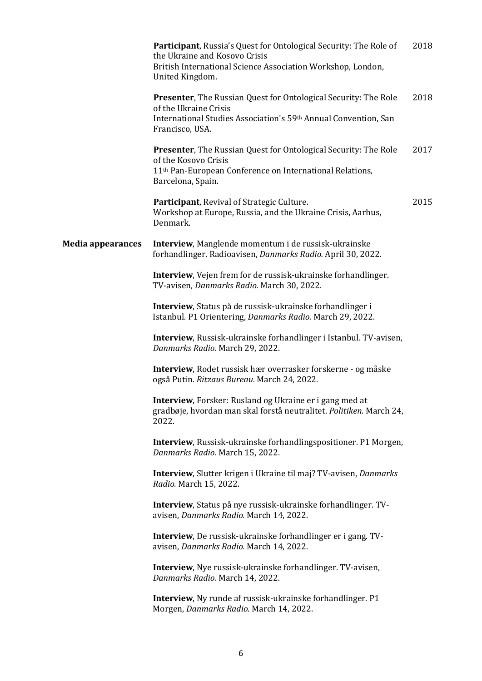|                          | Participant, Russia's Quest for Ontological Security: The Role of<br>the Ukraine and Kosovo Crisis<br>British International Science Association Workshop, London,<br>United Kingdom.        | 2018 |
|--------------------------|---------------------------------------------------------------------------------------------------------------------------------------------------------------------------------------------|------|
|                          | <b>Presenter, The Russian Quest for Ontological Security: The Role</b><br>of the Ukraine Crisis<br>International Studies Association's 59th Annual Convention, San<br>Francisco, USA.       | 2018 |
|                          | <b>Presenter, The Russian Quest for Ontological Security: The Role</b><br>of the Kosovo Crisis<br>11 <sup>th</sup> Pan-European Conference on International Relations,<br>Barcelona, Spain. | 2017 |
|                          | Participant, Revival of Strategic Culture.<br>Workshop at Europe, Russia, and the Ukraine Crisis, Aarhus,<br>Denmark.                                                                       | 2015 |
| <b>Media appearances</b> | Interview, Manglende momentum i de russisk-ukrainske<br>forhandlinger. Radioavisen, Danmarks Radio. April 30, 2022.                                                                         |      |
|                          | Interview, Vejen frem for de russisk-ukrainske forhandlinger.<br>TV-avisen, Danmarks Radio. March 30, 2022.                                                                                 |      |
|                          | Interview, Status på de russisk-ukrainske forhandlinger i<br>Istanbul. P1 Orientering, Danmarks Radio. March 29, 2022.                                                                      |      |
|                          | Interview, Russisk-ukrainske forhandlinger i Istanbul. TV-avisen,<br>Danmarks Radio. March 29, 2022.                                                                                        |      |
|                          | Interview, Rodet russisk hær overrasker forskerne - og måske<br>også Putin. Ritzaus Bureau. March 24, 2022.                                                                                 |      |
|                          | Interview, Forsker: Rusland og Ukraine er i gang med at<br>gradbøje, hvordan man skal forstå neutralitet. Politiken. March 24,<br>2022.                                                     |      |
|                          | Interview, Russisk-ukrainske forhandlingspositioner. P1 Morgen,<br>Danmarks Radio. March 15, 2022.                                                                                          |      |
|                          | Interview, Slutter krigen i Ukraine til maj? TV-avisen, Danmarks<br>Radio. March 15, 2022.                                                                                                  |      |
|                          | Interview, Status på nye russisk-ukrainske forhandlinger. TV-<br>avisen, Danmarks Radio. March 14, 2022.                                                                                    |      |
|                          | Interview, De russisk-ukrainske forhandlinger er i gang. TV-<br>avisen, Danmarks Radio. March 14, 2022.                                                                                     |      |
|                          | Interview, Nye russisk-ukrainske forhandlinger. TV-avisen,<br>Danmarks Radio. March 14, 2022.                                                                                               |      |
|                          | <b>Interview</b> , Ny runde af russisk-ukrainske forhandlinger. P1<br>Morgen, Danmarks Radio. March 14, 2022.                                                                               |      |
|                          |                                                                                                                                                                                             |      |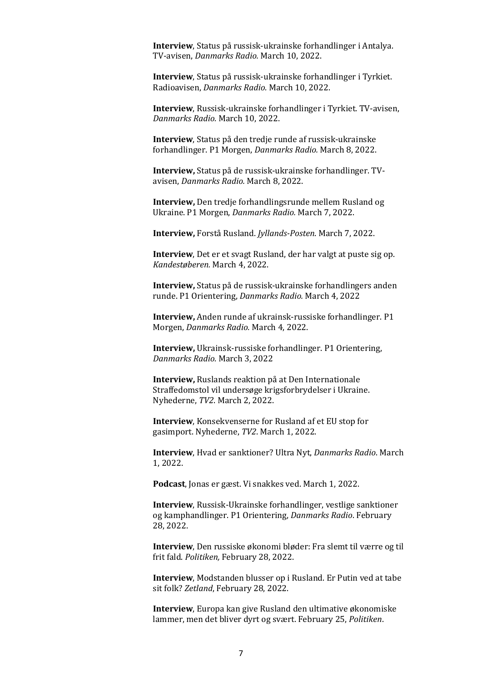**Interview**, Status på russisk-ukrainske forhandlinger i Antalya. TV-avisen, *Danmarks Radio.* March 10, 2022.

**Interview**, Status på russisk-ukrainske forhandlinger i Tyrkiet. Radioavisen, *Danmarks Radio.* March 10, 2022.

**Interview**, Russisk-ukrainske forhandlinger i Tyrkiet. TV-avisen, *Danmarks Radio.* March 10, 2022.

**Interview**, Status på den tredje runde af russisk-ukrainske forhandlinger. P1 Morgen, *Danmarks Radio.* March 8, 2022.

**Interview,** Status på de russisk-ukrainske forhandlinger. TVavisen, *Danmarks Radio.* March 8, 2022.

**Interview,** Den tredje forhandlingsrunde mellem Rusland og Ukraine. P1 Morgen, *Danmarks Radio.* March 7, 2022.

**Interview,** Forstå Rusland. *Jyllands-Posten*. March 7, 2022.

**Interview**, Det er et svagt Rusland, der har valgt at puste sig op. *Kandestøberen.* March 4, 2022.

**Interview,** Status på de russisk-ukrainske forhandlingers anden runde. P1 Orientering, *Danmarks Radio.* March 4, 2022

**Interview,** Anden runde af ukrainsk-russiske forhandlinger. P1 Morgen, *Danmarks Radio.* March 4, 2022.

**Interview,** Ukrainsk-russiske forhandlinger. P1 Orientering, *Danmarks Radio.* March 3, 2022

**Interview,** Ruslands reaktion på at Den Internationale Straffedomstol vil undersøge krigsforbrydelser i Ukraine. Nyhederne, *TV2*. March 2, 2022.

**Interview**, Konsekvenserne for Rusland af et EU stop for gasimport. Nyhederne, *TV2*. March 1, 2022.

**Interview**, Hvad er sanktioner? Ultra Nyt, *Danmarks Radio*. March 1, 2022.

**Podcast**, Jonas er gæst. Vi snakkes ved. March 1, 2022.

**Interview**, Russisk-Ukrainske forhandlinger, vestlige sanktioner og kamphandlinger. P1 Orientering, *Danmarks Radio*. February 28, 2022.

**Interview**, Den russiske økonomi bløder: Fra slemt til værre og til frit fald. *Politiken,* February 28, 2022.

**Interview**, Modstanden blusser op i Rusland. Er Putin ved at tabe sit folk? *Zetland*, February 28, 2022.

**Interview**, Europa kan give Rusland den ultimative økonomiske lammer, men det bliver dyrt og svært. February 25, *Politiken*.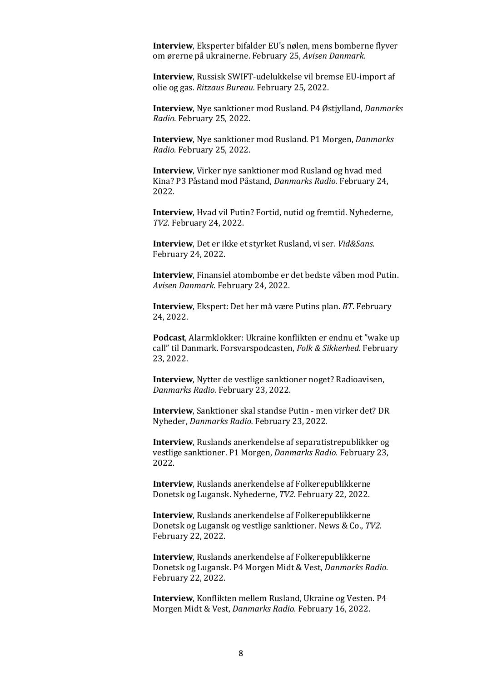**Interview**, Eksperter bifalder EU's nølen, mens bomberne flyver om ørerne på ukrainerne. February 25, *Avisen Danmark*.

**Interview**, Russisk SWIFT-udelukkelse vil bremse EU-import af olie og gas. *Ritzaus Bureau.* February 25, 2022.

**Interview**, Nye sanktioner mod Rusland. P4 Østjylland, *Danmarks Radio.* February 25, 2022.

**Interview**, Nye sanktioner mod Rusland. P1 Morgen, *Danmarks Radio.* February 25, 2022.

**Interview**, Virker nye sanktioner mod Rusland og hvad med Kina? P3 Påstand mod Påstand, *Danmarks Radio.* February 24, 2022.

**Interview**, Hvad vil Putin? Fortid, nutid og fremtid. Nyhederne, *TV2.* February 24, 2022.

**Interview**, Det er ikke et styrket Rusland, vi ser. *Vid&Sans*. February 24, 2022.

**Interview**, Finansiel atombombe er det bedste våben mod Putin. *Avisen Danmark*. February 24, 2022.

**Interview**, Ekspert: Det her må være Putins plan. *BT*. February 24, 2022.

**Podcast**, Alarmklokker: Ukraine konflikten er endnu et "wake up call" til Danmark. Forsvarspodcasten, *Folk & Sikkerhed*. February 23, 2022.

**Interview**, Nytter de vestlige sanktioner noget? Radioavisen, *Danmarks Radio.* February 23, 2022.

**Interview**, Sanktioner skal standse Putin - men virker det? DR Nyheder, *Danmarks Radio.* February 23, 2022.

**Interview**, Ruslands anerkendelse af separatistrepublikker og vestlige sanktioner. P1 Morgen, *Danmarks Radio.* February 23, 2022.

**Interview**, Ruslands anerkendelse af Folkerepublikkerne Donetsk og Lugansk. Nyhederne, *TV2.* February 22, 2022.

**Interview**, Ruslands anerkendelse af Folkerepublikkerne Donetsk og Lugansk og vestlige sanktioner. News & Co., *TV2.* February 22, 2022.

**Interview**, Ruslands anerkendelse af Folkerepublikkerne Donetsk og Lugansk. P4 Morgen Midt & Vest, *Danmarks Radio.* February 22, 2022.

**Interview**, Konflikten mellem Rusland, Ukraine og Vesten. P4 Morgen Midt & Vest, *Danmarks Radio.* February 16, 2022.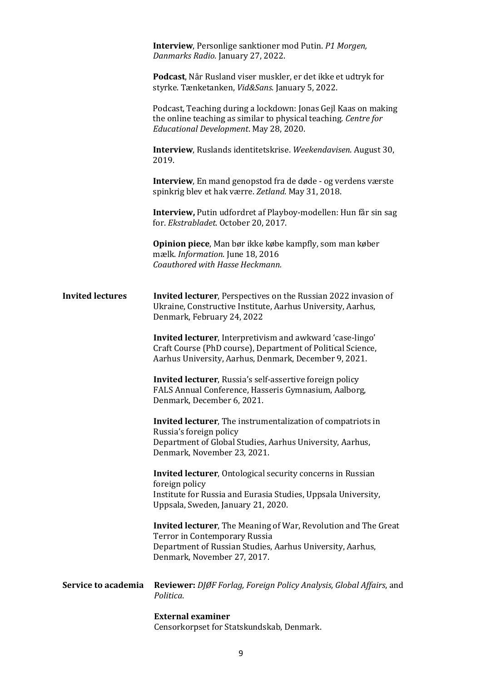|                         | <b>Interview</b> , Personlige sanktioner mod Putin. P1 Morgen,<br>Danmarks Radio. January 27, 2022.                                                                                                 |
|-------------------------|-----------------------------------------------------------------------------------------------------------------------------------------------------------------------------------------------------|
|                         | Podcast, Når Rusland viser muskler, er det ikke et udtryk for<br>styrke. Tænketanken, Vid&Sans. January 5, 2022.                                                                                    |
|                         | Podcast, Teaching during a lockdown: Jonas Gejl Kaas on making<br>the online teaching as similar to physical teaching. Centre for<br>Educational Development. May 28, 2020.                         |
|                         | Interview, Ruslands identitetskrise. Weekendavisen. August 30,<br>2019.                                                                                                                             |
|                         | <b>Interview</b> , En mand genopstod fra de døde - og verdens værste<br>spinkrig blev et hak værre. Zetland. May 31, 2018.                                                                          |
|                         | Interview, Putin udfordret af Playboy-modellen: Hun får sin sag<br>for. Ekstrabladet. October 20, 2017.                                                                                             |
|                         | Opinion piece, Man bør ikke købe kampfly, som man køber<br>mælk. Information. June 18, 2016<br>Coauthored with Hasse Heckmann.                                                                      |
| <b>Invited lectures</b> | <b>Invited lecturer</b> , Perspectives on the Russian 2022 invasion of<br>Ukraine, Constructive Institute, Aarhus University, Aarhus,<br>Denmark, February 24, 2022                                 |
|                         | Invited lecturer, Interpretivism and awkward 'case-lingo'<br>Craft Course (PhD course), Department of Political Science,<br>Aarhus University, Aarhus, Denmark, December 9, 2021.                   |
|                         | Invited lecturer, Russia's self-assertive foreign policy<br>FALS Annual Conference, Hasseris Gymnasium, Aalborg,<br>Denmark, December 6, 2021.                                                      |
|                         | <b>Invited lecturer</b> , The instrumentalization of compatriots in                                                                                                                                 |
|                         | Russia's foreign policy<br>Department of Global Studies, Aarhus University, Aarhus,<br>Denmark, November 23, 2021.                                                                                  |
|                         | <b>Invited lecturer</b> , Ontological security concerns in Russian<br>foreign policy                                                                                                                |
|                         | Institute for Russia and Eurasia Studies, Uppsala University,<br>Uppsala, Sweden, January 21, 2020.                                                                                                 |
|                         | <b>Invited lecturer</b> , The Meaning of War, Revolution and The Great<br>Terror in Contemporary Russia<br>Department of Russian Studies, Aarhus University, Aarhus,<br>Denmark, November 27, 2017. |
| Service to academia     | <b>Reviewer:</b> DJØF Forlag, Foreign Policy Analysis, Global Affairs, and<br>Politica.                                                                                                             |
|                         | <b>External examiner</b><br>Censorkorpset for Statskundskab, Denmark.                                                                                                                               |